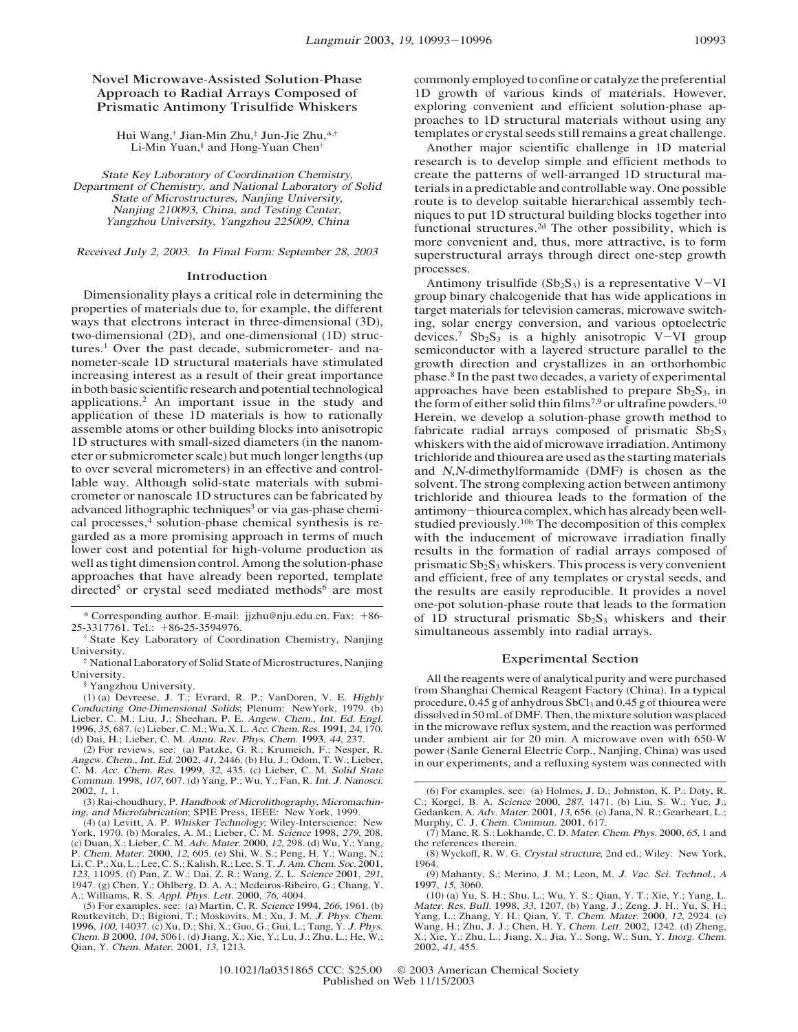# Novel Microwave-Assisted Solution-Phase Approach to Radial Arrays Composed of Prismatic Antimony Trisulfide Whiskers

Hui Wang,† Jian-Min Zhu,‡ Jun-Jie Zhu,\*,† Li-Min Yuan,§ and Hong-Yuan Chen†

Stat<sup>e</sup> Key Laborato<sup>r</sup>y of Coordinatio<sup>n</sup> Chemist<sup>r</sup>y, Departmen<sup>t</sup> of Chemist<sup>r</sup>y, <sup>a</sup>nd National Laborato<sup>r</sup>y of Solid Stat<sup>e</sup> of Microstructures, Nanjing Univ<sup>e</sup>rsity, Nanjing 210093, China, <sup>a</sup>nd Testing Center, Yangzh<sup>o</sup><sup>u</sup> Univ<sup>e</sup>rsity, Yangzh<sup>o</sup><sup>u</sup> 225009, Chin<sup>a</sup>

Receiv<sup>e</sup>d July 2, 2003. I<sup>n</sup> Final Form: Septembe<sup>r</sup> 28, 2003

#### Introduction

Dimensionality plays a critical role in determining the properties of materials due to, for example, the different ways that electrons interact in three-dimensional (3D), two-dimensional (2D), and one-dimensional (1D) structures.<sup>1</sup> Over the past decade, submicrometer- and nanometer-scale 1D structural materials have stimulated increasing interest as a result of their great importance in both basic scientific research and potential technological applications.2 An important issue in the study and application of these 1D materials is how to rationally assemble atoms or other building blocks into anisotropic 1D structures with small-sized diameters (in the nanometer or submicrometer scale) but much longer lengths (up to over several micrometers) in an effective and controllable way. Although solid-state materials with submicrometer or nanoscale 1D structures can be fabricated by advanced lithographic techniques<sup>3</sup> or via gas-phase chemical processes,<sup>4</sup> solution-phase chemical synthesis is regarded as a more promising approach in terms of much lower cost and potential for high-volume production as well as tight dimension control. Among the solution-phase approaches that have already been reported, template directed<sup>5</sup> or crystal seed mediated methods<sup>6</sup> are most

\* <sup>C</sup>orresponding author. E-mail: jjzhu@nju.edu.cn. Fax: +86- 25-3317761. Tel.: +86-25-3594976.

(1) (a) Devreese, J. T.; Evrard, R. P.; VanDoren, V. E. <sup>H</sup>ighl<sup>y</sup> <sup>C</sup>onductin<sup>g</sup> <sup>O</sup>ne-Dimensiona<sup>l</sup> <sup>S</sup>olids; Plenum: NewYork, 1979. (b) Lieber, C. M.; Liu, J.; Sheehan, P. E. <sup>A</sup>ng<sup>e</sup>w. <sup>C</sup>hem., <sup>I</sup>nt. <sup>E</sup>d. <sup>E</sup>ngl. 1996, 35, 687. (c) Lieber, C. M.;Wu, X. L. <sup>A</sup>cc. <sup>C</sup>hem. <sup>R</sup>es. 1991, <sup>24</sup>, 170. (d) Dai, H.; Lieber, C. M. <sup>A</sup>nnu. <sup>R</sup>ev. Phys. <sup>C</sup>hem. 1993, <sup>44</sup>, 237.

(2) For reviews, see: (a) Patzke, G. R.; Krumeich, F.; Nesper, R. <sup>A</sup>ng<sup>e</sup>w. <sup>C</sup>hem., <sup>I</sup>nt. <sup>E</sup>d. 2002, <sup>41</sup>, 2446. (b) Hu, J.; Odom, T. W.; Lieber, C. M. <sup>A</sup>cc. <sup>C</sup>hem. <sup>R</sup>es. 1999, <sup>32</sup>, 435. (c) Lieber, C. M. <sup>S</sup>olid <sup>S</sup>tat<sup>e</sup> <sup>C</sup>ommun. 1998, <sup>107</sup>, 607. (d) Yang, P.; Wu, Y.; Fan, R. <sup>I</sup>nt. <sup>J</sup>. <sup>N</sup>anosci. 2002, <sup>1</sup>, 1.

(3) Rai-choudhury, P. <sup>H</sup>andboo<sup>k</sup> of <sup>M</sup>icrolithography, <sup>M</sup>icromachin-ing, <sup>a</sup>nd <sup>M</sup>icrofabrication; SPIE Press, IEEE: New York, 1999.

(4) (a) Levitt, A. P. <sup>W</sup>hiske<sup>r</sup> <sup>T</sup>echnology; Wiley-Interscience: New York, 1970. (b) Morales, A. M.; Lieber, C. M. <sup>S</sup>cience 1998, <sup>279</sup>, 208. (c) Duan, X.; Lieber, C. M. <sup>A</sup>dv. Mater. 2000, <sup>12</sup>, 298. (d) Wu, Y.; Yang, P. Chem. Mater. 2000, 12, 605. (e) Shi, W. S.; Peng, H. Y.; Wang, N.; Li, C. P.; Xu, L.; Lee, C. S.; Kalish, R.; Lee, S. T. J. Am. Chem. Soc. 2001, 123, 11095. (f) Pan, Z. W.; Dai, Z. R.; Wang, Z. L. Science 2001, 1291, 12

A.; Williams, R. S. *Appl. Phys. Lett.* 2000, 76, 4004.<br>(5) For examples, see: (a) Martin, C. R. *Science* 1994, 266, 1961. (b) Routkevitch, D.; Bigioni, T.; Moskovits, M.; Xu, J. M. J. Phys. Chem.<br>1996, 100, 14037. (c) Xu, D.; Shi, X.; Guo, G.; Gui, L.; Tang, Y. J. Phys. <sup>C</sup>hem. <sup>B</sup> 2000, <sup>104</sup>, 5061. (d) Jiang, X.; Xie, Y.; Lu, J.; Zhu, L.; He, W.; Qian, Y. <sup>C</sup>hem. Mater. 2001, <sup>13</sup>, 1213.

commonly employed to confine or catalyze the preferential 1D growth of various kinds of materials. However, exploring convenient and efficient solution-phase approaches to 1D structural materials without using any templates or crystal seeds still remains a great challenge.

Another major scientific challenge in 1D material research is to develop simple and efficient methods to create the patterns of well-arranged 1D structural materials in a predictable and controllable way. One possible route is to develop suitable hierarchical assembly techniques to put 1D structural building blocks together into functional structures.<sup>2d</sup> The other possibility, which is more convenient and, thus, more attractive, is to form superstructural arrays through direct one-step growth processes.

Antimony trisulfide  $(Sb<sub>2</sub>S<sub>3</sub>)$  is a representative V-VI group binary chalcogenide that has wide applications in target materials for television cameras, microwave switching, solar energy conversion, and various optoelectric devices.<sup>7</sup> Sb<sub>2</sub>S<sub>3</sub> is a highly anisotropic V-VI group semiconductor with a layered structure parallel to the growth direction and crystallizes in an orthorhombic phase.8 In the past two decades, a variety of experimental approaches have been established to prepare  $Sb_2S_3$ , in the form of either solid thin films<sup>7,9</sup> or ultrafine powders.<sup>10</sup> Herein, we develop a solution-phase growth method to fabricate radial arrays composed of prismatic  $Sb_2S_3$ whiskers with the aid of microwave irradiation. Antimony trichloride and thiourea are used as the starting materials and <sup>N</sup>,<sup>N</sup>-dimethylformamide (DMF) is chosen as the solvent. The strong complexing action between antimony trichloride and thiourea leads to the formation of the antimony-thiourea complex, which has already been wellstudied previously.10b The decomposition of this complex with the inducement of microwave irradiation finally results in the formation of radial arrays composed of prismatic  $Sb_2S_3$  whiskers. This process is very convenient and efficient, free of any templates or crystal seeds, and the results are easily reproducible. It provides a novel one-pot solution-phase route that leads to the formation of 1D structural prismatic  $Sb_2S_3$  whiskers and their simultaneous assembly into radial arrays.

## Experimental Section

All the reagents were of analytical purity and were purchased from Shanghai Chemical Reagent Factory (China). In a typical procedure, 0.45 g of anhydrous SbCl<sub>3</sub> and 0.45 g of thiourea were dissolved in 50mL ofDMF. Then, themixture solution was placed in the microwave reflux system, and the reaction was performed under ambient air for 20 min. A microwave oven with 650-W power (Sanle General Electric Corp., Nanjing, China) was used in our experiments, and a refluxing system was connected with

(6) For examples, see: (a) Holmes, J. D.; Johnston, K. P.; Doty, R. C.; Korgel, B. A. <sup>S</sup>cience 2000, <sup>287</sup>, 1471. (b) Liu, S. W.; Yue, J.; Gedanken, A. <sup>A</sup>dv. Mater. 2001, <sup>13</sup>, 656. (c) Jana, N. R.; Gearheart, L.; Murphy, C. J. <sup>C</sup>hem. <sup>C</sup>ommun. 2001, 617.

(7) Mane, R. S.; <sup>L</sup>okhande, C. D. Mater. <sup>C</sup>hem. Phys. 2000, <sup>65</sup>, <sup>1</sup> and the references therein.

(8) Wyckoff, R. W. G. Crysta<sup>l</sup> <sup>s</sup>tructure, 2nd ed.; Wiley: New York, 1964.

(9) Mahanty, S.; Merino, J. M.; Leon, M. <sup>J</sup>. <sup>V</sup>ac. <sup>S</sup>ci. <sup>T</sup>echnol., <sup>A</sup> 1997, 15, 3060.

(10) (a) Yu, S. H.; Shu, L.; Wu, Y. S.; Qian, Y. T.; Xie, Y.; Yang, L. Mater. <sup>R</sup>es. <sup>B</sup>ull. 1998, <sup>33</sup>, 1207. (b) Yang, J.; Zeng, J. H.; Yu, S. H.; Yang, L.; Zhang, Y. H.; Qian, Y. T. <sup>C</sup>hem. Mater. 2000, <sup>12</sup>, 2924. (c) Wang, H.; Zhu, J. J.; Chen, H. Y. <sup>C</sup>hem. <sup>L</sup>ett. 2002, 1242. (d) Zheng, X.; Xie, Y.; Zhu, L.; Jiang, X.; Jia, Y.; Song, W.; Sun, Y. <sup>I</sup>norg. <sup>C</sup>hem. 2002, <sup>41</sup>, 455.

State Key Laboratory of Coordination Chemistry, Nanjing University.

 $*$  National Laboratory of Solid State of Microstructures, Nanjing University.

<sup>§</sup> Yangzhou University.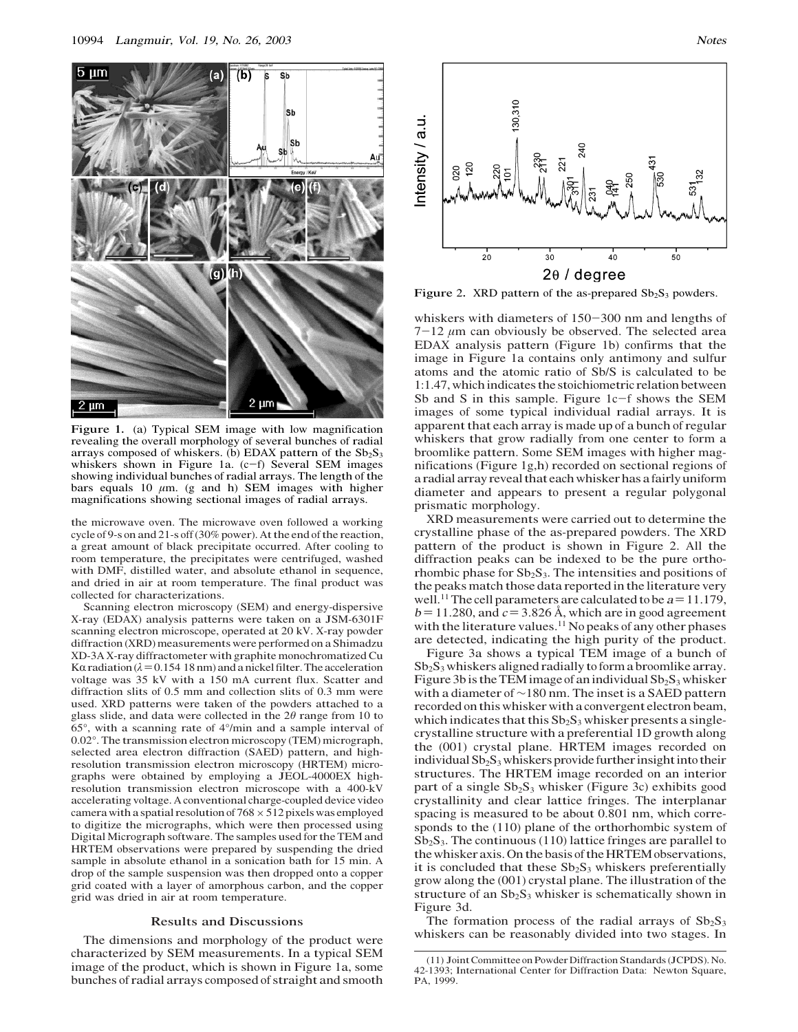

Figure 1. (a) Typical SEM image with low magnification revealing the overall morphology of several bunches of radial arrays composed of whiskers. (b) EDAX pattern of the  $Sb_2S_3$ whiskers shown in Figure 1a. (c-f) Several SEM images showing individual bunches of radial arrays. The length of the bars equals 10  $\mu$ m. (g and h) SEM images with higher magnifications showing sectional images of radial arrays.

the microwave oven. The microwave oven followed a working cycle of 9-s on and 21-s off(30% power). At the end of the reaction, a great amount of black precipitate occurred. After cooling to room temperature, the precipitates were centrifuged, washed with DMF, distilled water, and absolute ethanol in sequence, and dried in air at room temperature. The final product was collected for characterizations.

Scanning electron microscopy (SEM) and energy-dispersive X-ray (EDAX) analysis patterns were taken on a JSM-6301F scanning electron microscope, operated at 20 kV. X-ray powder diffraction (XRD) measurements were performed on a Shimadzu XD-3A X-ray diffractometer with graphite monochromatized Cu K $\alpha$  radiation ( $\lambda$  = 0.154 18 nm) and a nickel filter. The acceleration voltage was 35 kV with a 150 mA current flux. Scatter and diffraction slits of 0.5 mm and collection slits of 0.3 mm were used. XRD patterns were taken of the powders attached to a glass slide, and data were collected in the  $2\theta$  range from 10 to 65°, with a scanning rate of 4°/min and a sample interval of 0.02°. The transmission electron microscopy (TEM) micrograph, selected area electron diffraction (SAED) pattern, and highresolution transmission electron microscopy (HRTEM) micrographs were obtained by employing a JEOL-4000EX highresolution transmission electron microscope with a 400-kV accelerating voltage. A conventional charge-coupled device video camera with a spatial resolution of  $768 \times 512$  pixels was employed to digitize the micrographs, which were then processed using Digital Micrograph software. The samples used for the TEM and HRTEM observations were prepared by suspending the dried sample in absolute ethanol in a sonication bath for 15 min. A drop of the sample suspension was then dropped onto a copper grid coated with a layer of amorphous carbon, and the copper grid was dried in air at room temperature.

# Results and Discussions

The dimensions and morphology of the product were characterized by SEM measurements. In a typical SEM image of the product, which is shown in Figure 1a, some bunches of radial arrays composed of straight and smooth



Figure 2. XRD pattern of the as-prepared  $Sb_2S_3$  powders.

whiskers with diameters of 150-300 nm and lengths of  $7-12 \mu m$  can obviously be observed. The selected area EDAX analysis pattern (Figure 1b) confirms that the image in Figure 1a contains only antimony and sulfur atoms and the atomic ratio of Sb/S is calculated to be 1:1.47, which indicates the stoichiometric relation between Sb and S in this sample. Figure 1c-f shows the SEM images of some typical individual radial arrays. It is apparent that each array is made up of a bunch of regular whiskers that grow radially from one center to form a broomlike pattern. Some SEM images with higher magnifications (Figure 1g,h) recorded on sectional regions of a radial array reveal that each whisker has a fairly uniform diameter and appears to present a regular polygonal prismatic morphology.

XRD measurements were carried out to determine the crystalline phase of the as-prepared powders. The XRD pattern of the product is shown in Figure 2. All the diffraction peaks can be indexed to be the pure orthorhombic phase for  $Sb_2S_3$ . The intensities and positions of the peaks match those data reported in the literature very well.<sup>11</sup> The cell parameters are calculated to be  $a = 11.179$ ,  $b = 11.280$ , and  $c = 3.826$  Å, which are in good agreement with the literature values.<sup>11</sup> No peaks of any other phases are detected, indicating the high purity of the product.

Figure 3a shows a typical TEM image of a bunch of  $Sb<sub>2</sub>S<sub>3</sub>$  whiskers aligned radially to form a broomlike array. Figure 3b is the TEM image of an individual  $Sb_2S_3$  whisker with <sup>a</sup> diameter of ∼<sup>180</sup> nm. The inset is <sup>a</sup> <sup>S</sup>AED pattern recorded on this whisker with a convergent electron beam, which indicates that this  $Sb_2S_3$  whisker presents a singlecrystalline structure with a preferential 1D growth along the (001) crystal plane. HRTEM images recorded on individual  $Sb_2S_3$  whiskers provide further insight into their structures. The HRTEM image recorded on an interior part of a single  $Sb_2S_3$  whisker (Figure 3c) exhibits good crystallinity and clear lattice fringes. The interplanar spacing is measured to be about 0.801 nm, which corresponds to the (110) plane of the orthorhombic system of  $Sb<sub>2</sub>S<sub>3</sub>$ . The continuous (110) lattice fringes are parallel to the whiskeraxis. On the basis of the HRTEMobservations, it is concluded that these  $Sb_2S_3$  whiskers preferentially grow along the (001) crystal plane. The illustration of the structure of an  $Sb_2S_3$  whisker is schematically shown in Figure 3d.

The formation process of the radial arrays of  $Sb_2S_3$ whiskers can be reasonably divided into two stages. In

<sup>(</sup>11) Joint Committee on Powder Diffraction Standards (JCPDS). No. 42-1393; International Center for Diffraction Data: Newton Square, PA, 1999.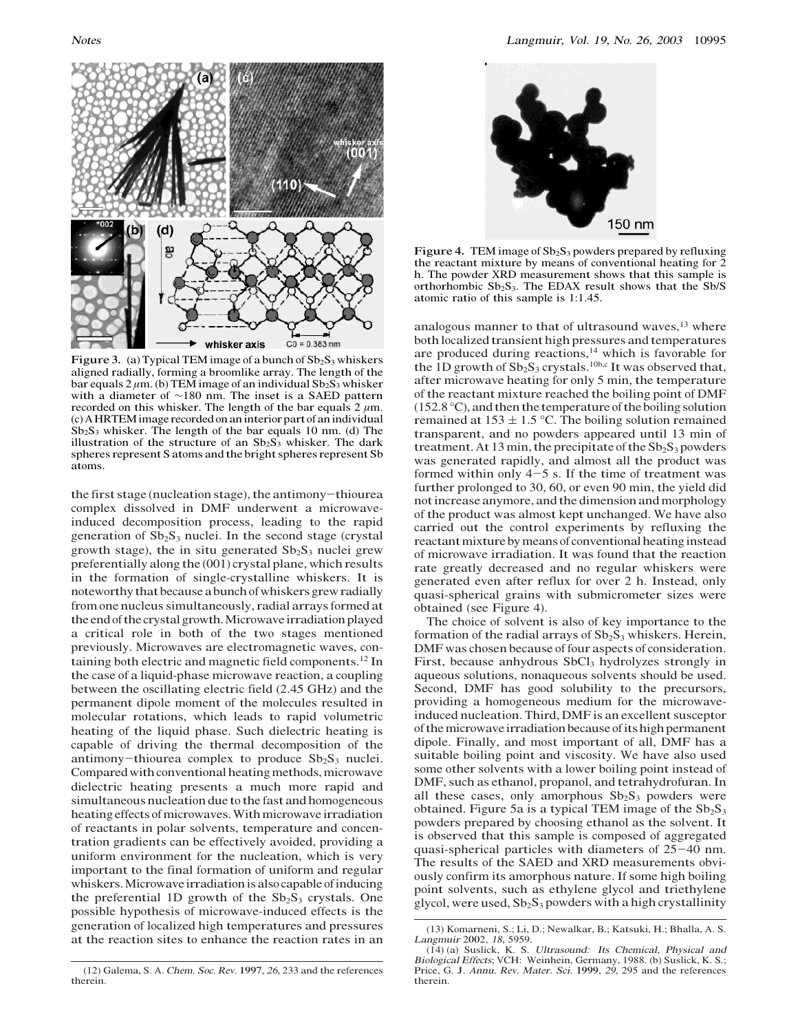

Figure 3. (a) Typical TEM image of a bunch of  $Sb_2S_3$  whiskers aligned radially, forming a broomlike array. The length of the bar equals  $2 \mu m$ . (b) TEM image of an individual  $Sb_2S_3$  whisker with <sup>a</sup> diameter of ∼<sup>180</sup> nm. The inset is <sup>a</sup> <sup>S</sup>AED pattern recorded on this whisker. The length of the bar equals  $2 \mu m$ . (c) A HRTEM image recorded on an interior part of an individual  $Sb<sub>2</sub>S<sub>3</sub>$  whisker. The length of the bar equals 10 nm. (d) The illustration of the structure of an  $Sb_2S_3$  whisker. The dark spheres represent S atoms and the bright spheres represent Sb atoms.

the first stage (nucleation stage), the antimony-thiourea complex dissolved in DMF underwent a microwaveinduced decomposition process, leading to the rapid generation of  $Sb_2S_3$  nuclei. In the second stage (crystal growth stage), the in situ generated  $Sb_2S_3$  nuclei grew preferentially along the (001) crystal plane, which results in the formation of single-crystalline whiskers. It is noteworthy that because a bunch of whiskers grew radially from one nucleus simultaneously, radial arrays formed at the end of the crystal growth.Microwave irradiation played a critical role in both of the two stages mentioned previously. Microwaves are electromagnetic waves, containing both electric and magnetic field components.12 In the case of a liquid-phase microwave reaction, a coupling between the oscillating electric field (2.45 GHz) and the permanent dipole moment of the molecules resulted in molecular rotations, which leads to rapid volumetric heating of the liquid phase. Such dielectric heating is capable of driving the thermal decomposition of the antimony-thiourea complex to produce  $Sb_2S_3$  nuclei. Compared with conventional heating methods, microwave dielectric heating presents a much more rapid and simultaneous nucleation due to the fast and homogeneous heating effects of microwaves. With microwave irradiation of reactants in polar solvents, temperature and concentration gradients can be effectively avoided, providing a uniform environment for the nucleation, which is very important to the final formation of uniform and regular whiskers.Microwave irradiation is also capable of inducing the preferential 1D growth of the  $Sb_2S_3$  crystals. One possible hypothesis of microwave-induced effects is the generation of localized high temperatures and pressures at the reaction sites to enhance the reaction rates in an



Figure 4. TEM image of  $Sb_2S_3$  powders prepared by refluxing the reactant mixture by means of conventional heating for 2 h. The powder XRD measurement shows that this sample is orthorhombic  $Sb_2S_3$ . The EDAX result shows that the Sb/S atomic ratio of this sample is 1:1.45.

analogous manner to that of ultrasound waves, $13$  where both localized transient high pressures and temperatures are produced during reactions, $14$  which is favorable for the 1D growth of  $Sb_2S_3$  crystals.<sup>10b,c</sup> It was observed that, after microwave heating for only 5 min, the temperature of the reactant mixture reached the boiling point of DMF (152.8 °C), and then the temperature of the boiling solution remained at  $153 \pm 1.5$  °C. The boiling solution remained transparent, and no powders appeared until 13 min of treatment. At 13 min, the precipitate of the  $Sb_2S_3$  powders was generated rapidly, and almost all the product was formed within only  $4-5$  s. If the time of treatment was further prolonged to 30, 60, or even 90 min, the yield did not increase anymore, and the dimension and morphology of the product was almost kept unchanged. We have also carried out the control experiments by refluxing the reactant mixture by means of conventional heating instead of microwave irradiation. It was found that the reaction rate greatly decreased and no regular whiskers were generated even after reflux for over 2 h. Instead, only quasi-spherical grains with submicrometer sizes were obtained (see Figure 4).

The choice of solvent is also of key importance to the formation of the radial arrays of  $Sb_2S_3$  whiskers. Herein, DMF was chosen because of four aspects of consideration. First, because anhydrous  $SbCl<sub>3</sub>$  hydrolyzes strongly in aqueous solutions, nonaqueous solvents should be used. Second, DMF has good solubility to the precursors, providing a homogeneous medium for the microwaveinduced nucleation. Third, DMF is an excellent susceptor of themicrowave irradiation because of its high permanent dipole. Finally, and most important of all, DMF has a suitable boiling point and viscosity. We have also used some other solvents with a lower boiling point instead of DMF, such as ethanol, propanol, and tetrahydrofuran. In all these cases, only amorphous  $Sb<sub>2</sub>S<sub>3</sub>$  powders were obtained. Figure 5a is a typical TEM image of the  $Sb_2S_3$ powders prepared by choosing ethanol as the solvent. It is observed that this sample is composed of aggregated quasi-spherical particles with diameters of 25-40 nm. The results of the SAED and XRD measurements obviously confirm its amorphous nature. If some high boiling point solvents, such as ethylene glycol and triethylene glycol, were used,  $Sb_2S_3$  powders with a high crystallinity

<sup>(</sup>13) Komarneni, S.; Li, D.; Newalkar, B.; Katsuki, H.; Bhalla, A. S. <sup>L</sup>angmui<sup>r</sup> 2002, <sup>18</sup>, 5959.

<sup>(</sup>14) (a) Suslick, K. S. Ultrasound: It<sup>s</sup> <sup>C</sup>hemical, Physica<sup>l</sup> <sup>a</sup>nd <sup>B</sup>iologica<sup>l</sup> <sup>E</sup>ffects; VCH: Weinhein, Germany, 1988. (b) Suslick, K. S.; Price, G. J. <sup>A</sup>nnu. <sup>R</sup>ev. Mater. <sup>S</sup>ci. 1999, <sup>29</sup>, 295 and the references therein.